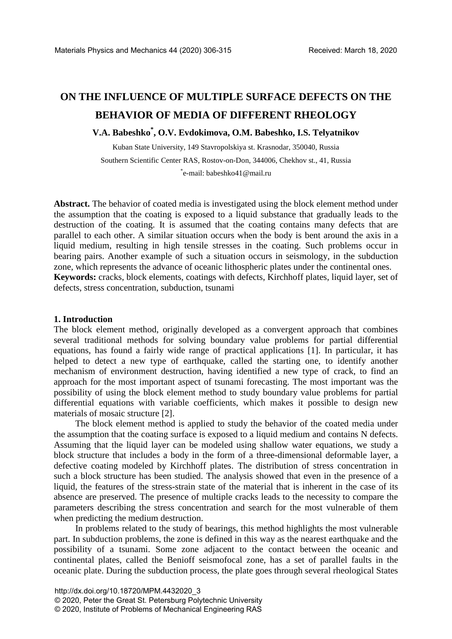# **ON THE INFLUENCE OF MULTIPLE SURFACE DEFECTS ON THE BEHAVIOR OF MEDIA OF DIFFERENT RHEOLOGY**

## **V.A. Babeshko\* , O.V. Evdokimova, O.M. Babeshko, I.S. Telyatnikov**

Kuban State University, 149 Stavropolskiya st. Krasnodar, 350040, Russia Southern Scientific Center RAS, Rostov-on-Don, 344006, Chekhov st., 41, Russia \* e-mail: babeshko41@mail.ru

**Abstract.** The behavior of coated media is investigated using the block element method under the assumption that the coating is exposed to a liquid substance that gradually leads to the destruction of the coating. It is assumed that the coating contains many defects that are parallel to each other. A similar situation occurs when the body is bent around the axis in a liquid medium, resulting in high tensile stresses in the coating. Such problems occur in bearing pairs. Another example of such a situation occurs in seismology, in the subduction zone, which represents the advance of oceanic lithospheric plates under the continental ones. **Keywords:** cracks, block elements, coatings with defects, Kirchhoff plates, liquid layer, set of defects, stress concentration, subduction, tsunami

#### **1. Introduction**

The block element method, originally developed as a convergent approach that combines several traditional methods for solving boundary value problems for partial differential equations, has found a fairly wide range of practical applications [1]. In particular, it has helped to detect a new type of earthquake, called the starting one, to identify another mechanism of environment destruction, having identified a new type of crack, to find an approach for the most important aspect of tsunami forecasting. The most important was the possibility of using the block element method to study boundary value problems for partial differential equations with variable coefficients, which makes it possible to design new materials of mosaic structure [2].

The block element method is applied to study the behavior of the coated media under the assumption that the coating surface is exposed to a liquid medium and contains N defects. Assuming that the liquid layer can be modeled using shallow water equations, we study a block structure that includes a body in the form of a three-dimensional deformable layer, a defective coating modeled by Kirchhoff plates. The distribution of stress concentration in such a block structure has been studied. The analysis showed that even in the presence of a liquid, the features of the stress-strain state of the material that is inherent in the case of its absence are preserved. The presence of multiple cracks leads to the necessity to compare the parameters describing the stress concentration and search for the most vulnerable of them when predicting the medium destruction.

In problems related to the study of bearings, this method highlights the most vulnerable part. In subduction problems, the zone is defined in this way as the nearest earthquake and the possibility of a tsunami. Some zone adjacent to the contact between the oceanic and continental plates, called the Benioff seismofocal zone, has a set of parallel faults in the oceanic plate. During the subduction process, the plate goes through several rheological States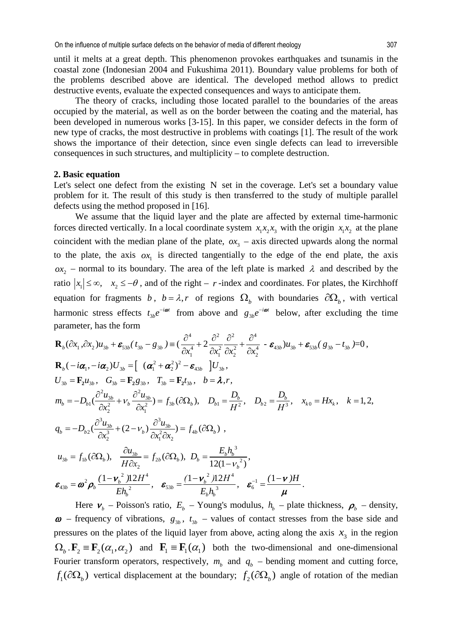until it melts at a great depth. This phenomenon provokes earthquakes and tsunamis in the coastal zone (Indonesian 2004 and Fukushima 2011). Boundary value problems for both of the problems described above are identical. The developed method allows to predict destructive events, evaluate the expected consequences and ways to anticipate them.

The theory of cracks, including those located parallel to the boundaries of the areas occupied by the material, as well as on the border between the coating and the material, has been developed in numerous works [3-15]. In this paper, we consider defects in the form of new type of cracks, the most destructive in problems with coatings [1]. The result of the work shows the importance of their detection, since even single defects can lead to irreversible consequences in such structures, and multiplicity – to complete destruction.

#### **2. Basic equation**

Let's select one defect from the existing N set in the coverage. Let's set a boundary value problem for it. The result of this study is then transferred to the study of multiple parallel defects using the method proposed in [16].

We assume that the liquid layer and the plate are affected by external time-harmonic forces directed vertically. In a local coordinate system  $x_1x_2x_3$  with the origin  $x_1x_2$  at the plane coincident with the median plane of the plate,  $\alpha x_3$  – axis directed upwards along the normal to the plate, the axis  $\alpha x_i$  is directed tangentially to the edge of the end plate, the axis  $\alpha x$  – normal to its boundary. The area of the left plate is marked  $\lambda$  and described by the ratio  $|x_1| \leq \infty$ ,  $x_2 \leq -\theta$ , and of the right – *r*-index and coordinates. For plates, the Kirchhoff equation for fragments *b*,  $b = \lambda$ , *r* of regions  $\Omega$ <sub>*b*</sub> with boundaries  $\partial \Omega$ <sub>*b*</sub>, with vertical harmonic stress effects  $t_{3b}e^{-i\omega t}$  from above and  $g_{3b}e^{-i\omega t}$  below, after excluding the time parameter, has the form

$$
\mathbf{R}_{b}(\partial x_{1}, \partial x_{2})u_{3b} + \mathbf{\varepsilon}_{53b}(\ t_{3b} - g_{3b}) = \left(\frac{\partial^{4}}{\partial x_{1}^{4}} + 2\frac{\partial^{2}}{\partial x_{1}^{2}}\frac{\partial^{2}}{\partial x_{2}^{2}} + \frac{\partial^{4}}{\partial x_{2}^{4}} - \mathbf{\varepsilon}_{43b})u_{3b} + \mathbf{\varepsilon}_{53b}(\ g_{3b} - t_{3b}) = 0\right),
$$
\n
$$
\mathbf{R}_{b}(-i\alpha_{1}, -i\alpha_{2})U_{3b} = \left[ (\alpha_{1}^{2} + \alpha_{2}^{2})^{2} - \mathbf{\varepsilon}_{43b} \right]U_{3b},
$$
\n
$$
U_{3b} = \mathbf{F}_{2}u_{3b}, \quad G_{3b} = \mathbf{F}_{2}g_{3b}, \quad T_{3b} = \mathbf{F}_{2}t_{3b}, \quad b = \lambda, r,
$$
\n
$$
m_{b} = -D_{b1}(\frac{\partial^{2}u_{3b}}{\partial x_{2}^{2}} + V_{b}\frac{\partial^{2}u_{3b}}{\partial x_{1}^{2}}) = f_{3b}(\partial\Omega_{b}), \quad D_{b1} = \frac{D_{b}}{H^{2}}, \quad D_{b2} = \frac{D_{b}}{H^{3}}, \quad x_{k0} = Hx_{k}, \quad k = 1, 2,
$$
\n
$$
q_{b} = -D_{b2}(\frac{\partial^{3}u_{3b}}{\partial x_{2}^{3}} + (2 - v_{b})\frac{\partial^{3}u_{3b}}{\partial x_{1}^{2}\partial x_{2}}) = f_{4b}(\partial\Omega_{b}),
$$
\n
$$
u_{3b} = f_{1b}(\partial\Omega_{b}), \quad \frac{\partial u_{3b}}{H\partial x_{2}} = f_{2b}(\partial\Omega_{b}), \quad D_{b} = \frac{E_{b}h_{b}^{3}}{12(1 - v_{b}^{2})},
$$
\n
$$
\varepsilon_{43b} = \omega^{2}\rho_{b}\frac{(1 - v_{b}^{2})12H^{4}}{Eh_{b}^{2}}, \quad \varepsilon_{53b} = \frac{(1 - v_{b}^{2})12H^{4}}{E_{b}h_{b}^{3}}, \quad \varepsilon
$$

Here  $v_b$  – Poisson's ratio,  $E_b$  – Young's modulus,  $h_b$  – plate thickness,  $\rho_b$  – density,  $\omega$  – frequency of vibrations,  $g_{3b}$ ,  $t_{3b}$  – values of contact stresses from the base side and pressures on the plates of the liquid layer from above, acting along the axis  $x_3$  in the region  $\Omega_b$   $\mathbf{F}_2 \equiv \mathbf{F}_1(\alpha_1, \alpha_2)$  and  $\mathbf{F}_1 \equiv \mathbf{F}_1(\alpha_1)$  both the two-dimensional and one-dimensional Fourier transform operators, respectively,  $m_b$  and  $q_b$  – bending moment and cutting force,  $f_i(\partial\Omega_h)$  vertical displacement at the boundary;  $f_i(\partial\Omega_h)$  angle of rotation of the median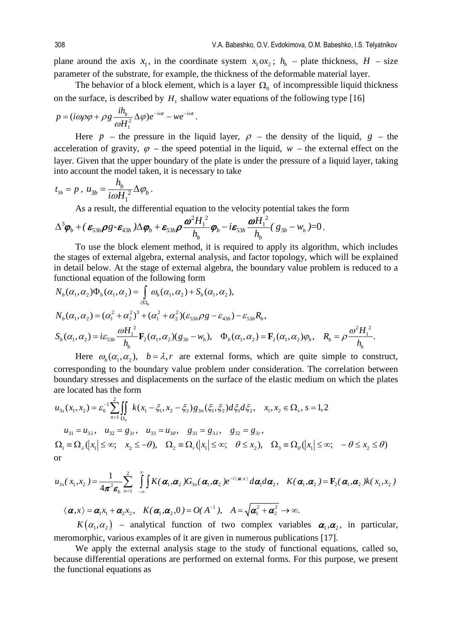plane around the axis  $x_1$ , in the coordinate system  $x_1 \, \alpha x_2$ ;  $h_h$  – plate thickness,  $H$  – size parameter of the substrate, for example, the thickness of the deformable material layer.

The behavior of a block element, which is a layer  $\Omega_0$  of incompressible liquid thickness on the surface, is described by  $H_1$  shallow water equations of the following type [16]

$$
p = (i\omega\rho\varphi + \rho g \frac{i h_b}{\omega H_1^2} \Delta \varphi) e^{-i\omega t} - w e^{-i\omega t}.
$$

Here *p* – the pressure in the liquid layer,  $\rho$  – the density of the liquid,  $g$  – the acceleration of gravity,  $\varphi$  – the speed potential in the liquid,  $w$  – the external effect on the layer. Given that the upper boundary of the plate is under the pressure of a liquid layer, taking into account the model taken, it is necessary to take

$$
t_{3b} = p
$$
,  $u_{3b} = \frac{h_b}{i\omega H_1^2} \Delta \varphi_b$ .

As a result, the differential equation to the velocity potential takes the form

$$
\Delta^3 \boldsymbol{\varphi}_b + (\boldsymbol{\varepsilon}_{33b} \boldsymbol{\rho}_s \boldsymbol{\cdot} \boldsymbol{\varepsilon}_{43b}) \Delta \boldsymbol{\varphi}_b + \boldsymbol{\varepsilon}_{33b} \boldsymbol{\rho} \frac{\boldsymbol{\omega}^2 \boldsymbol{H}_1^2}{h_b} \boldsymbol{\varphi}_b - i \boldsymbol{\varepsilon}_{33b} \frac{\boldsymbol{\omega} \boldsymbol{H}_1^2}{h_b} (\boldsymbol{g}_{3b} - \boldsymbol{w}_b) = 0.
$$

To use the block element method, it is required to apply its algorithm, which includes the stages of external algebra, external analysis, and factor topology, which will be explained in detail below. At the stage of external algebra, the boundary value problem is reduced to a functional equation of the following form

$$
N_b(\alpha_1, \alpha_2) \Phi_b(\alpha_1, \alpha_2) = \int_{\partial \Omega_b} \omega_b(\alpha_1, \alpha_2) + S_b(\alpha_1, \alpha_2),
$$
  
\n
$$
N_b(\alpha_1, \alpha_2) = (\alpha_1^2 + \alpha_2^2)^3 + (\alpha_1^2 + \alpha_2^2)(\varepsilon_{53b} \rho g - \varepsilon_{43b}) - \varepsilon_{53b} R_b,
$$
  
\n
$$
S_b(\alpha_1, \alpha_2) = i\varepsilon_{53b} \frac{\omega H_1^2}{h_b} \mathbf{F}_2(\alpha_1, \alpha_2)(g_{3b} - w_b), \quad \Phi_b(\alpha_1, \alpha_2) = \mathbf{F}_2(\alpha_1, \alpha_2)\varphi_b, \quad R_b = \rho \frac{\omega^2 H_1^2}{h_b}.
$$

Here  $\omega_{h}(\alpha_{1}, \alpha_{2})$ ,  $b = \lambda, r$  are external forms, which are quite simple to construct, corresponding to the boundary value problem under consideration. The correlation between boundary stresses and displacements on the surface of the elastic medium on which the plates are located has the form

$$
u_{3s}(x_1, x_2) = \varepsilon_6^{-1} \sum_{n=1}^2 \iint_{\Omega_n} k(x_1 - \xi_1, x_2 - \xi_2) g_{3n}(\xi_1, \xi_2) d\xi_1 d\xi_2, \quad x_1, x_2 \in \Omega_s, s = 1, 2
$$
  
\n
$$
u_{31} = u_{3\lambda}, \quad u_{32} = g_{3r}, \quad u_{33} = u_{3\theta}, \quad g_{31} = g_{3\lambda}, \quad g_{32} = g_{3r},
$$
  
\n
$$
\Omega_1 \equiv \Omega_\lambda (|x_1| \le \infty; \quad x_2 \le -\theta), \quad \Omega_2 \equiv \Omega_r (|x_1| \le \infty; \quad \theta \le x_2), \quad \Omega_3 \equiv \Omega_\theta (|x_1| \le \infty; \quad -\theta \le x_2 \le \theta)
$$
  
\nor

$$
u_{3s}(x_1,x_2) = \frac{1}{4\pi^2 \varepsilon_6} \sum_{n=1}^2 \int_{-\infty}^{\infty} \int K(\boldsymbol{\alpha}_1, \boldsymbol{\alpha}_2) G_{3n}(\boldsymbol{\alpha}_1, \boldsymbol{\alpha}_2) e^{-i \langle \boldsymbol{\alpha}, x \rangle} d\boldsymbol{\alpha}_1 d\boldsymbol{\alpha}_2, \quad K(\boldsymbol{\alpha}_1, \boldsymbol{\alpha}_2) = \mathbf{F}_2(\boldsymbol{\alpha}_1, \boldsymbol{\alpha}_2) K(x_1,x_2)
$$

 $1 + A = \sqrt{2} + \alpha^2$  $\langle \boldsymbol{\alpha}, x \rangle = \boldsymbol{\alpha}_1 x_1 + \boldsymbol{\alpha}_2 x_2, \quad K(\boldsymbol{\alpha}_1, \boldsymbol{\alpha}_2, 0) = O(\Lambda^{-1}), \quad A = \sqrt{\boldsymbol{\alpha}_1^2 + \boldsymbol{\alpha}_2^2} \to \infty.$ 

 $K(\alpha_1, \alpha_2)$  – analytical function of two complex variables  $\alpha_1, \alpha_2$ , in particular, meromorphic, various examples of it are given in numerous publications [17].

We apply the external analysis stage to the study of functional equations, called so, because differential operations are performed on external forms. For this purpose, we present the functional equations as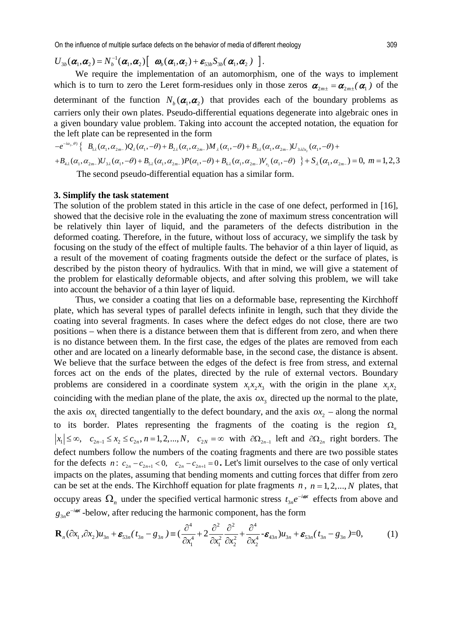On the influence of multiple surface defects on the behavior of media of different rheology 309

 $U_{3b}(\boldsymbol{\alpha}_1,\boldsymbol{\alpha}_2) = N_b^{-1}(\boldsymbol{\alpha}_1,\boldsymbol{\alpha}_2) \left[\begin{array}{cc} \boldsymbol{\omega}_b(\boldsymbol{\alpha}_1,\boldsymbol{\alpha}_2) + \boldsymbol{\varepsilon}_{33b} S_{3b}(\boldsymbol{\alpha}_1,\boldsymbol{\alpha}_2) \end{array}\right].$ 

We require the implementation of an automorphism, one of the ways to implement which is to turn to zero the Leret form-residues only in those zeros  $\alpha_{2m+} = \alpha_{2m+1}(\alpha_1)$  of the determinant of the function  $N_b(\boldsymbol{\alpha}_1, \boldsymbol{\alpha}_2)$  that provides each of the boundary problems as carriers only their own plates. Pseudo-differential equations degenerate into algebraic ones in a given boundary value problem. Taking into account the accepted notation, the equation for the left plate can be represented in the form

 $2-\theta$ <sup>2</sup>  $+B_{4\lambda}(\alpha_1, \alpha_{2m-})U_{3\lambda}(\alpha_1, -\theta) + B_{5\lambda}(\alpha_1, \alpha_{2m-})P(\alpha_1, -\theta) + B_{6\lambda}(\alpha_1, \alpha_{2m-})V_{x_2}(\alpha_1, -\theta) + S_{\lambda}(\alpha_1, \alpha_{2m-}) = 0, m = 1, 2, 3$ 2 )  $\{ \begin{array}{l} \mathbb{I}_{a_{2} \cdot \theta}) \left\{ \quad B_{_{1,2}}(\alpha_{_{1}}, \alpha_{_{2m-}}) \mathcal{Q}_{_{\lambda}}(\alpha_{_{1}}, -\theta) + B_{_{2,\lambda}}(\alpha_{_{1}}, \alpha_{_{2m-}}) M_{_{\lambda}}(\alpha_{_{1}}, -\theta) + B_{_{3,\lambda}}(\alpha_{_{1}}, \alpha_{_{2m-}}) U_{_{3,\lambda \partial x_{_{2}}}}(\alpha_{_{1}}, -\theta) \right\} \end{array}$  $e^{-i\alpha_{2\cdot}\theta} \left\{ \begin{array}{c} B_{1\lambda}(\alpha_{1},\alpha_{2m_{-}})Q_{\lambda}(\alpha_{1},-\theta)+B_{2\lambda}(\alpha_{1},\alpha_{2m_{-}})M_{\lambda}(\alpha_{1},-\theta)+B_{3\lambda}(\alpha_{1},\alpha_{2m_{-}})U_{3\lambda\partial\lambda} \end{array} \right.$  $-e^{-i\alpha_{2}\cdot\theta_{2}}\left\{-B_{1\lambda}(\alpha_{1},\alpha_{2m-})Q_{\lambda}(\alpha_{1},-\theta)+B_{2\lambda}(\alpha_{1},\alpha_{2m-})M_{\lambda}(\alpha_{1},-\theta)+B_{3\lambda}(\alpha_{1},\alpha_{2m-})U_{3\lambda2\alpha_{2}}(\alpha_{1},-\theta)+\right.$ The second pseudo-differential equation has a similar form.

#### **3. Simplify the task statement**

The solution of the problem stated in this article in the case of one defect, performed in [16], showed that the decisive role in the evaluating the zone of maximum stress concentration will be relatively thin layer of liquid, and the parameters of the defects distribution in the deformed coating. Therefore, in the future, without loss of accuracy, we simplify the task by focusing on the study of the effect of multiple faults. The behavior of a thin layer of liquid, as a result of the movement of coating fragments outside the defect or the surface of plates, is described by the piston theory of hydraulics. With that in mind, we will give a statement of the problem for elastically deformable objects, and after solving this problem, we will take into account the behavior of a thin layer of liquid.

Thus, we consider a coating that lies on a deformable base, representing the Kirchhoff plate, which has several types of parallel defects infinite in length, such that they divide the coating into several fragments. In cases where the defect edges do not close, there are two positions – when there is a distance between them that is different from zero, and when there is no distance between them. In the first case, the edges of the plates are removed from each other and are located on a linearly deformable base, in the second case, the distance is absent. We believe that the surface between the edges of the defect is free from stress, and external forces act on the ends of the plates, directed by the rule of external vectors. Boundary problems are considered in a coordinate system  $x_1x_2x_3$  with the origin in the plane  $x_1x_2$ coinciding with the median plane of the plate, the axis  $\alpha x$ , directed up the normal to the plate, the axis  $\alpha x_1$  directed tangentially to the defect boundary, and the axis  $\alpha x_2$  – along the normal to its border. Plates representing the fragments of the coating is the region  $\Omega$ <sub>n</sub>  $|x_1| \leq \infty$ ,  $c_{2n-1} \leq x_2 \leq c_{2n}$ ,  $n = 1, 2, ..., N$ ,  $c_{2N} = \infty$  with  $\partial \Omega_{2n-1}$  left and  $\partial \Omega_{2n}$  right borders. The defect numbers follow the numbers of the coating fragments and there are two possible states for the defects  $n: c_{2n} - c_{2n+1} < 0$ ,  $c_{2n} - c_{2n+1} = 0$ . Let's limit ourselves to the case of only vertical impacts on the plates, assuming that bending moments and cutting forces that differ from zero can be set at the ends. The Kirchhoff equation for plate fragments  $n$ ,  $n = 1, 2, ..., N$  plates, that occupy areas  $\Omega_n$  under the specified vertical harmonic stress  $t_{3n}e^{-i\omega t}$  effects from above and 3  $g_{3n}e^{-i\omega t}$  -below, after reducing the harmonic component, has the form

$$
\mathbf{R}_n(\partial x_1, \partial x_2)u_{3n} + \mathbf{\varepsilon}_{53n}(t_{3n} - g_{3n}) \equiv \left(\frac{\partial^4}{\partial x_1^4} + 2\frac{\partial^2}{\partial x_2^2} + \frac{\partial^2}{\partial x_2^2} + \frac{\partial^4}{\partial x_3^4} - \mathbf{\varepsilon}_{43n}\right)u_{3n} + \mathbf{\varepsilon}_{53n}(t_{3n} - g_{3n}) = 0, \tag{1}
$$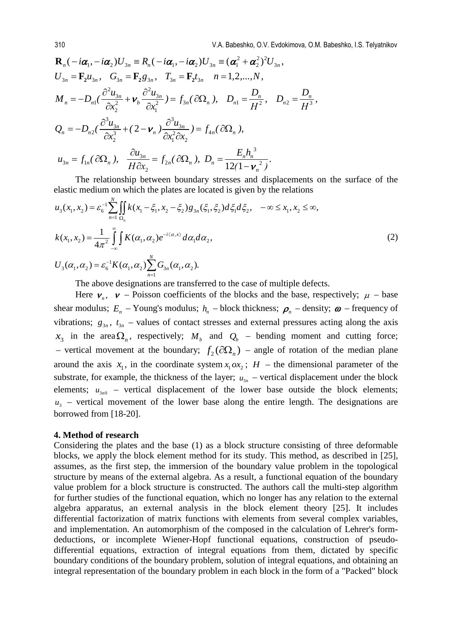$$
\mathbf{R}_{n}(-i\alpha_{1},-i\alpha_{2})U_{3n} = R_{n}(-i\alpha_{1},-i\alpha_{2})U_{3n} = (\alpha_{1}^{2} + \alpha_{2}^{2})^{2}U_{3n},
$$
\n
$$
U_{3n} = \mathbf{F}_{2}u_{3n}, \quad G_{3n} = \mathbf{F}_{2}g_{3n}, \quad T_{3n} = \mathbf{F}_{2}t_{3n} \quad n = 1,2,...,N,
$$
\n
$$
M_{n} = -D_{n1}(\frac{\partial^{2}u_{3n}}{\partial x_{2}^{2}} + \mathbf{v}_{b}\frac{\partial^{2}u_{3n}}{\partial x_{1}^{2}}) = f_{3n}(\partial\Omega_{n}), \quad D_{n1} = \frac{D_{n}}{H^{2}}, \quad D_{n2} = \frac{D_{n}}{H^{3}},
$$
\n
$$
Q_{n} = -D_{n2}(\frac{\partial^{3}u_{3n}}{\partial x_{2}^{3}} + (2 - \mathbf{v}_{n})\frac{\partial^{3}u_{3n}}{\partial x_{1}^{2}\partial x_{2}}) = f_{4n}(\partial\Omega_{n}),
$$
\n
$$
u_{3n} = f_{1n}(\partial\Omega_{n}), \quad \frac{\partial u_{3n}}{H\partial x_{2}} = f_{2n}(\partial\Omega_{n}), \quad D_{n} = \frac{E_{n}h_{n}^{3}}{12(1 - \mathbf{v}_{n}^{2})}.
$$

The relationship between boundary stresses and displacements on the surface of the elastic medium on which the plates are located is given by the relations

$$
u_3(x_1, x_2) = \varepsilon_6^{-1} \sum_{n=1}^N \iint_{\Omega_n} k(x_1 - \xi_1, x_2 - \xi_2) g_{3n}(\xi_1, \xi_2) d\xi_1 d\xi_2, \quad -\infty \le x_1, x_2 \le \infty,
$$
  
\n
$$
k(x_1, x_2) = \frac{1}{4\pi^2} \int_{-\infty}^{\infty} \int K(\alpha_1, \alpha_2) e^{-i\langle \alpha, x \rangle} d\alpha_1 d\alpha_2,
$$
  
\n
$$
U_3(\alpha_1, \alpha_2) = \varepsilon_6^{-1} K(\alpha_1, \alpha_2) \sum_{n=1}^N G_{3n}(\alpha_1, \alpha_2).
$$
\n(2)

The above designations are transferred to the case of multiple defects.

Here  $v_n$ ,  $v$  – Poisson coefficients of the blocks and the base, respectively;  $\mu$  – base shear modulus;  $E_n$  – Young's modulus;  $h_n$  – block thickness;  $\rho_n$  – density;  $\omega$  – frequency of vibrations;  $g_{3n}$ ,  $t_{3n}$  – values of contact stresses and external pressures acting along the axis  $x_3$  in the area $\Omega_n$ , respectively;  $M_b$  and  $Q_b$  – bending moment and cutting force; – vertical movement at the boundary;  $f_2(\partial\Omega_n)$  – angle of rotation of the median plane around the axis  $x_1$ , in the coordinate system  $x_1 \, \alpha x_2$ ;  $H$  – the dimensional parameter of the substrate, for example, the thickness of the layer;  $u_{3n}$  – vertical displacement under the block elements;  $u_{3n0}$  – vertical displacement of the lower base outside the block elements;  $u_3$  – vertical movement of the lower base along the entire length. The designations are borrowed from [18-20].

#### **4. Method of research**

Considering the plates and the base (1) as a block structure consisting of three deformable blocks, we apply the block element method for its study. This method, as described in [25], assumes, as the first step, the immersion of the boundary value problem in the topological structure by means of the external algebra. As a result, a functional equation of the boundary value problem for a block structure is constructed. The authors call the multi-step algorithm for further studies of the functional equation, which no longer has any relation to the external algebra apparatus, an external analysis in the block element theory [25]. It includes differential factorization of matrix functions with elements from several complex variables, and implementation. An automorphism of the composed in the calculation of Lehrer's formdeductions, or incomplete Wiener-Hopf functional equations, construction of pseudodifferential equations, extraction of integral equations from them, dictated by specific boundary conditions of the boundary problem, solution of integral equations, and obtaining an integral representation of the boundary problem in each block in the form of a "Packed" block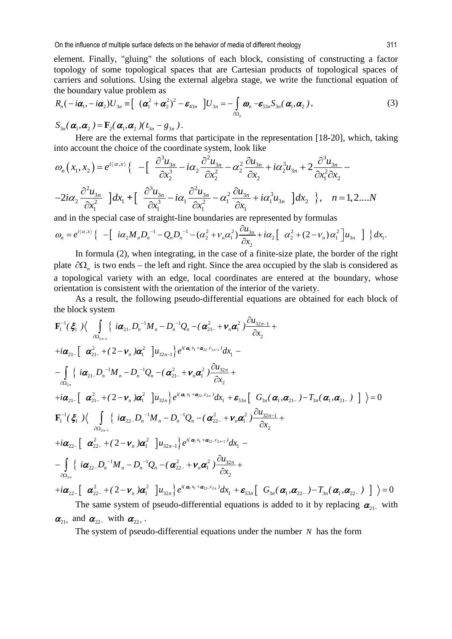element. Finally, "gluing" the solutions of each block, consisting of constructing a factor topology of some topological spaces that are Cartesian products of topological spaces of carriers and solutions. Using the external algebra stage, we write the functional equation of the boundary value problem as

$$
R_n(-i\boldsymbol{\alpha}_1, -i\boldsymbol{\alpha}_2)U_{3n} \equiv \left[ (\boldsymbol{\alpha}_1^2 + \boldsymbol{\alpha}_2^2)^2 - \boldsymbol{\varepsilon}_{43n} \right]U_{3n} = -\int_{\partial\Omega_n} \boldsymbol{\omega}_n - \boldsymbol{\varepsilon}_{53n}S_{3n}(\boldsymbol{\alpha}_1, \boldsymbol{\alpha}_2), \qquad (3)
$$

 $S_{3n}(\boldsymbol{\alpha}_1, \boldsymbol{\alpha}_2) = \mathbf{F}_2(\boldsymbol{\alpha}_1, \boldsymbol{\alpha}_2) (t_{3n} - g_{3n}).$ 

Here are the external forms that participate in the representation [18-20], which, taking into account the choice of the coordinate system, look like

$$
\omega_n(x_1, x_2) = e^{i\langle \alpha, x \rangle} \left\{ -\left[ \frac{\partial^3 u_{3n}}{\partial x_2^3} - i\alpha_2 \frac{\partial^2 u_{3n}}{\partial x_2^2} - \alpha_2^2 \frac{\partial u_{3n}}{\partial x_2} + i\alpha_2^3 u_{3n} + 2 \frac{\partial^3 u_{3n}}{\partial x_1^2 \partial x_2} - \right. \\ \left. - 2i\alpha_2 \frac{\partial^2 u_{3n}}{\partial x_1^2} \right] dx_1 + \left[ \frac{\partial^3 u_{3n}}{\partial x_1^3} - i\alpha_1 \frac{\partial^2 u_{3n}}{\partial x_1^2} - \alpha_1^2 \frac{\partial u_{3n}}{\partial x_1} + i\alpha_1^3 u_{3n} \right] dx_2 \right\}, \quad n = 1, 2, \dots N
$$

and in the special case of straight-line boundaries are represented by formulas

$$
\omega_n = e^{i\langle \alpha, x \rangle} \left\{ - \left[ i\alpha_2 M_n D_n^{-1} - Q_n D_n^{-1} - (\alpha_2^2 + \nu_n \alpha_1^2) \frac{\partial u_{3n}}{\partial x_2} + i\alpha_2 \left[ \alpha_2^2 + (2 - \nu_n) \alpha_1^2 \right] u_{3n} \right] \right\} dx_1.
$$

In formula (2), when integrating, in the case of a finite-size plate, the border of the right plate  $\partial\Omega$ <sub>n</sub> is two ends – the left and right. Since the area occupied by the slab is considered as a topological variety with an edge, local coordinates are entered at the boundary, whose orientation is consistent with the orientation of the interior of the variety.

As a result, the following pseudo-differential equations are obtained for each block of the block system

$$
\mathbf{F}_{1}^{-1}(\xi_{1})\Big\langle \int_{\partial\Omega_{2n}}\Big\{i\alpha_{21}D_{n}^{-1}M_{n}-D_{n}^{-1}Q_{n}-(\alpha_{21}^{2}+\nu_{n}\alpha_{1}^{2})\frac{\partial u_{32n-1}}{\partial x_{2}}+\n+i\alpha_{21}\Big[\alpha_{21}^{2}+(2-\nu_{n})\alpha_{1}^{2}\Big]u_{32n-1}\Big\}e^{i(\alpha_{1}x_{1}+\alpha_{22}-\alpha_{2n-1})}dx_{1}-\n-\int_{\partial\Omega_{2n}}\Big\{i\alpha_{21}D_{n}^{-1}M_{n}-D_{n}^{-1}Q_{n}-(\alpha_{21}^{2}+\nu_{n}\alpha_{1}^{2})\frac{\partial u_{32n}}{\partial x_{2}}+\n+i\alpha_{21}\Big[\alpha_{21}^{2}+(2-\nu_{n})\alpha_{1}^{2}\Big]u_{32n}\Big\}e^{i(\alpha_{1}x_{1}+\alpha_{22}-\alpha_{2n})}dx_{1}+\varepsilon_{33n}\Big[\alpha_{3n}(\alpha_{1},\alpha_{21-})-T_{3n}(\alpha_{1},\alpha_{21-})\Big]\Big\rangle=0\n\mathbf{F}_{1}^{-1}(\xi_{1})\Big\langle \int_{\partial\Omega_{2n-1}}\Big\{i\alpha_{22}D_{n}^{-1}M_{n}-D_{n}^{-1}Q_{n}-(\alpha_{22-}^{2}+\nu_{n}\alpha_{1}^{2})\frac{\partial u_{32n-1}}{\partial x_{2}}+\n+i\alpha_{22-}\Big[\alpha_{22-}^{2}+(2-\nu_{n})\alpha_{1}^{2}\Big]u_{32n-1}\Big\}e^{i(\alpha_{1}x_{1}+\alpha_{22}-\alpha_{2n-1})}dx_{1}-\n-\int_{\partial\Omega_{2n}}\Big\{i\alpha_{22}D_{n}^{-1}M_{n}-D_{n}^{-1}Q_{n}-(\alpha_{22-}^{2}+\nu_{n}\alpha_{1}^{2})\frac{\partial u_{32n}}{\partial x_{2}}+\n+i\alpha_{22-}\Big[\alpha_{22-}^{2}+(2-\nu_{n})\alpha_{1}^{2}\Big]u_{32n}\Big\}e^{i(\alpha_{1}x_{1}+\alpha_{22}-\alpha_{2n})}dx_{1
$$

$$
\boldsymbol{\alpha}_{21+}
$$
 and  $\boldsymbol{\alpha}_{22-}$  with  $\boldsymbol{\alpha}_{22+}$ .

The system of pseudo-differential equations under the number *N* has the form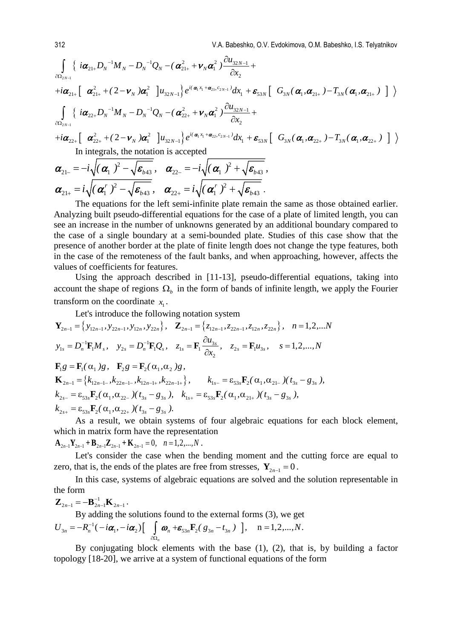{ [ ] } [ ] { [ ] 2 1 1 1 21 2 1 2 1 1 122 32 1 21 21 1 2 2 2 21 21 1 32 1 1 53 3 1 21 3 1 21 1 122 32 1 22 22 1 2 2 2 22 22 1 2 2 *N N N N N N NN N i( x c ) N N N N N N N N NN N N <sup>u</sup> i DM DQ ( ) x i ( ) u e dx G ( , ) T ( , ) <sup>u</sup> i DM DQ ( ) x i ( )u* − + − − − − − + + ∂Ω + + + − + + − − − + + ∂Ω + + ∂ − −+ + ∂ + +− + − ∂ − −+ + ∂ + +− ∫ ∫ α α α α να α α ν α e αα αα α α να <sup>α</sup> <sup>α</sup> να } [ ] 1 1 22 2 1 32 1 1 53 3 1 22 3 1 22 *<sup>N</sup> i( x c ) <sup>N</sup> N N <sup>N</sup> e dx G ( , ) T ( , )* <sup>+</sup> + − <sup>−</sup> + − + + <sup>α</sup> <sup>α</sup> <sup>e</sup> αα αα In integrals, the notation is accepted

$$
\boldsymbol{\alpha}_{21-} = -i \sqrt{(\boldsymbol{\alpha}_1)^2 - \sqrt{\boldsymbol{\varepsilon}_{b43}}}, \quad \boldsymbol{\alpha}_{22-} = -i \sqrt{(\boldsymbol{\alpha}_1)^2 + \sqrt{\boldsymbol{\varepsilon}_{b43}}}, \\ \boldsymbol{\alpha}_{21+} = i \sqrt{(\boldsymbol{\alpha}_1^r)^2 - \sqrt{\boldsymbol{\varepsilon}_{b43}}}, \quad \boldsymbol{\alpha}_{22+} = i \sqrt{(\boldsymbol{\alpha}_1^r)^2 + \sqrt{\boldsymbol{\varepsilon}_{b43}}}, \\ \boldsymbol{\alpha}_{11} = \boldsymbol{\alpha}_1 \cdot \boldsymbol{\varepsilon}_{b43} = \boldsymbol{\alpha}_2 \cdot \boldsymbol{\varepsilon}_{b43}.
$$

The equations for the left semi-infinite plate remain the same as those obtained earlier. Analyzing built pseudo-differential equations for the case of a plate of limited length, you can see an increase in the number of unknowns generated by an additional boundary compared to the case of a single boundary at a semi-bounded plate. Studies of this case show that the presence of another border at the plate of finite length does not change the type features, both in the case of the remoteness of the fault banks, and when approaching, however, affects the values of coefficients for features.

Using the approach described in [11-13], pseudo-differential equations, taking into account the shape of regions  $\Omega_b$  in the form of bands of infinite length, we apply the Fourier transform on the coordinate  $x_1$ .

Let's introduce the following notation system  
\n
$$
\mathbf{Y}_{2n-1} = \{y_{12n-1}, y_{22n-1}, y_{12n}, y_{22n}\}, \quad \mathbf{Z}_{2n-1} = \{z_{12n-1}, z_{22n-1}, z_{12n}, z_{22n}\}, \quad n = 1, 2, \dots, N
$$
\n
$$
y_{1s} = D_n^{-1} \mathbf{F}_1 M_s, \quad y_{2s} = D_n^{-1} \mathbf{F}_1 Q_s, \quad z_{1s} = \mathbf{F}_1 \frac{\partial u_{3s}}{\partial x_2}, \quad z_{2s} = \mathbf{F}_1 u_{3s}, \quad s = 1, 2, \dots, N
$$
\n
$$
\mathbf{F}_1 g = \mathbf{F}_1(\alpha_1) g, \quad \mathbf{F}_2 g = \mathbf{F}_2(\alpha_1, \alpha_2) g,
$$
\n
$$
\mathbf{K}_{2n-1} = \{k_{12n-1} \cdot k_{22n-1} \cdot k_{12n-1+}, k_{22n-1+1}\}, \quad k_{1s-} = \varepsilon_{53s} \mathbf{F}_2(\alpha_1, \alpha_{21-}) (t_{3s} - g_{3s}),
$$
\n
$$
k_{2s-} = \varepsilon_{53s} \mathbf{F}_2(\alpha_1, \alpha_{22-}) (t_{3s} - g_{3s}), \quad k_{1s+} = \varepsilon_{53s} \mathbf{F}_2(\alpha_1, \alpha_{21+}) (t_{3s} - g_{3s}),
$$
\n
$$
k_{2s+} = \varepsilon_{53s} \mathbf{F}_2(\alpha_1, \alpha_{22+}) (t_{3s} - g_{3s}).
$$

As a result, we obtain systems of four algebraic equations for each block element, which in matrix form have the representation

 $\mathbf{A}_{2n-1}\mathbf{Y}_{2n-1} + \mathbf{B}_{2n-1}\mathbf{Z}_{2n-1} + \mathbf{K}_{2n-1} = 0, \quad n = 1, 2, ..., N$ .

Let's consider the case when the bending moment and the cutting force are equal to zero, that is, the ends of the plates are free from stresses,  $Y_{2n-1} = 0$ .

In this case, systems of algebraic equations are solved and the solution representable in the form

$$
\mathbf{Z}_{2n-1} = -\mathbf{B}_{2n-1}^{-1}\mathbf{K}_{2n-1}.
$$

By adding the solutions found to the external forms (3), we get

$$
U_{3n} = -R_n^{-1}(-i\alpha_1, -i\alpha_2) \left[\int_{\partial \Omega_n} \omega_n + \mathbf{E}_{33n} \mathbf{F}_2(\mathbf{g}_{3n} - t_{3n})\right], \quad n = 1, 2, ..., N.
$$

By conjugating block elements with the base (1), (2), that is, by building a factor topology [18-20], we arrive at a system of functional equations of the form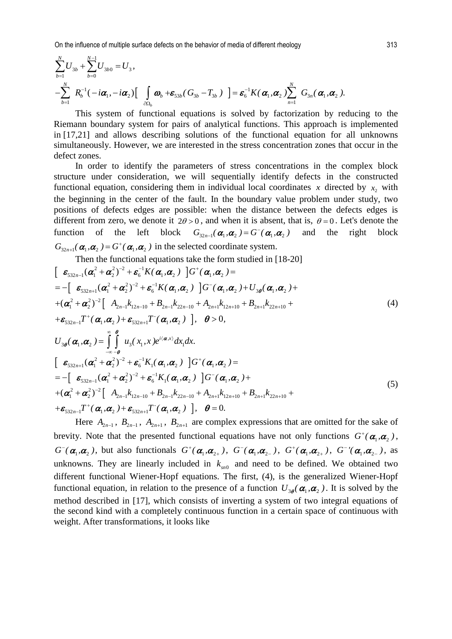On the influence of multiple surface defects on the behavior of media of different rheology 313

$$
\sum_{b=1}^{N} U_{3b} + \sum_{b=0}^{N-1} U_{3b0} = U_3,
$$
\n
$$
-\sum_{b=1}^{N} R_b^{-1}(-i\alpha_1, -i\alpha_2) \left[\int_{\partial\Omega_b} \boldsymbol{\omega}_b + \boldsymbol{\varepsilon}_{53b}(\boldsymbol{G}_{3b} - \boldsymbol{T}_{3b})\right] = \boldsymbol{\varepsilon}_6^{-1} K(\boldsymbol{\alpha}_1, \boldsymbol{\alpha}_2) \sum_{n=1}^{N} G_{3n}(\boldsymbol{\alpha}_1, \boldsymbol{\alpha}_2).
$$

This system of functional equations is solved by factorization by reducing to the Riemann boundary system for pairs of analytical functions. This approach is implemented in [17,21] and allows describing solutions of the functional equation for all unknowns simultaneously. However, we are interested in the stress concentration zones that occur in the defect zones.

In order to identify the parameters of stress concentrations in the complex block structure under consideration, we will sequentially identify defects in the constructed functional equation, considering them in individual local coordinates  $x$  directed by  $x$ , with the beginning in the center of the fault. In the boundary value problem under study, two positions of defects edges are possible: when the distance between the defects edges is different from zero, we denote it  $2\theta > 0$ , and when it is absent, that is,  $\theta = 0$ . Let's denote the function of the left block  $G_{32n-1}(\boldsymbol{\alpha}_1,\boldsymbol{\alpha}_2) = G^{-}(\boldsymbol{\alpha}_1,\boldsymbol{\alpha}_2)$  and the right block  $G_{32n+1}(\boldsymbol{\alpha}_1, \boldsymbol{\alpha}_2) = G^+(\boldsymbol{\alpha}_1, \boldsymbol{\alpha}_2)$  in the selected coordinate system. Then the functional equations take the form studied in [18-20]

Then the functional equations take the form studied in [16-20]  
\n
$$
\begin{bmatrix}\n\mathbf{\varepsilon}_{332n-1}(\alpha_1^2 + \alpha_2^2)^{-2} + \mathbf{\varepsilon}_6^{-1}K(\alpha_1, \alpha_2) \\
= -\left[\n\mathbf{\varepsilon}_{332n+1}(\alpha_1^2 + \alpha_2^2)^{-2} + \mathbf{\varepsilon}_6^{-1}K(\alpha_1, \alpha_2)\n\right] G^-(\alpha_1, \alpha_2) + U_{3\theta}(\alpha_1, \alpha_2) + \n+ (\alpha_1^2 + \alpha_2^2)^{-2}\left[\n\mathbf{A}_{2n-1}k_{12n-10} + \mathbf{B}_{2n-1}k_{22n-10} + \mathbf{A}_{2n+1}k_{12n+10} + \mathbf{B}_{2n+1}k_{22n+10} + \n+ \mathbf{\varepsilon}_{332n-1}T^+(\alpha_1, \alpha_2) + \mathbf{\varepsilon}_{332n+1}T^-(\alpha_1, \alpha_2)\n\right], \quad \theta > 0,
$$
\n
$$
U_{3\theta}(\alpha_1, \alpha_2) = \int_{-\infty}^{\infty} \int_{-\infty}^{\theta} u_3(x_1, x) e^{i\langle \alpha, x \rangle} dx_1 dx.
$$
\n
$$
\begin{bmatrix}\n\mathbf{\varepsilon}_{332n+1}(\alpha_1^2 + \alpha_2^2)^{-2} + \mathbf{\varepsilon}_6^{-1}K_1(\alpha_1, \alpha_2) \quad G^+(\alpha_1, \alpha_2) = \n= -\left[\n\mathbf{\varepsilon}_{332n-1}(\alpha_1^2 + \alpha_2^2)^{-2} + \mathbf{\varepsilon}_6^{-1}K_1(\alpha_1, \alpha_2) \quad G^-(\alpha_1, \alpha_2) + \n+ (\alpha_1^2 + \alpha_2^2)^{-2}\left[\n\mathbf{A}_{2n-1}k_{12n-10} + \mathbf{B}_{2n-1}k_{22n-10} + \mathbf{A}_{2n+1}k_{12n+10} + \mathbf{B}_{2n+1}k_{22n+10} + \n+ \mathbf{\varepsilon}_{332n-1}T^+(\alpha_1, \alpha_2) + \n\mathbf{\varepsilon}_{332n-1}T^
$$

Here  $A_{2n-1}$ ,  $B_{2n-1}$ ,  $A_{2n+1}$ ,  $B_{2n+1}$  are complex expressions that are omitted for the sake of brevity. Note that the presented functional equations have not only functions  $G^{\dagger}(\alpha_1, \alpha_2)$ ,  $G^-(\alpha_1,\alpha_2)$ , but also functionals  $G^+(\alpha_1,\alpha_2)$ ,  $G^-(\alpha_1,\alpha_2)$ ,  $G^+(\alpha_1,\alpha_2)$ ,  $G^-(\alpha_1,\alpha_2)$ , as unknowns. They are linearly included in  $k_{\text{on}}$  and need to be defined. We obtained two different functional Wiener-Hopf equations. The first, (4), is the generalized Wiener-Hopf functional equation, in relation to the presence of a function  $U_{3\rho}(\alpha_1, \alpha_2)$ . It is solved by the method described in [17], which consists of inverting a system of two integral equations of the second kind with a completely continuous function in a certain space of continuous with weight. After transformations, it looks like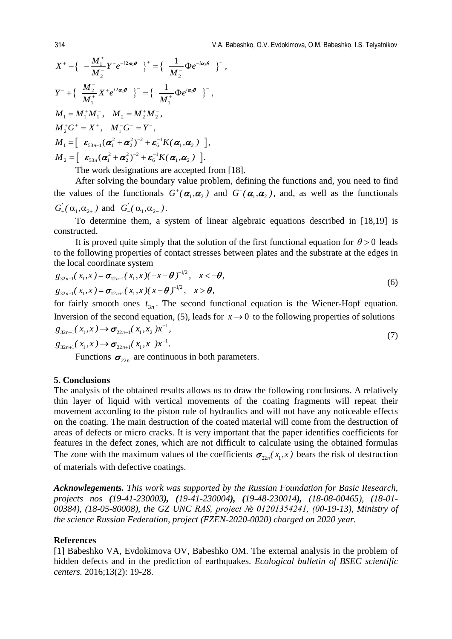$$
X^+ - \{-\frac{M_1^+}{M_2^-} Y^- e^{-i2\alpha_2 \theta} \}^+ = \{-\frac{1}{M_2^-} \Phi e^{-i\alpha_2 \theta} \}^+,
$$
  
\n
$$
Y^- + \{-\frac{M_2^-}{M_1^+} X^+ e^{i2\alpha_2 \theta} \}^- = \{-\frac{1}{M_1^+} \Phi e^{i\alpha_2 \theta} \}^-,
$$
  
\n
$$
M_1 = M_1^+ M_1^-, \quad M_2 = M_2^+ M_2^-,
$$
  
\n
$$
M_2^+ G^+ = X^+, \quad M_1^- G^- = Y^-,
$$
  
\n
$$
M_1 = \left[ \varepsilon_{53n-1} (\alpha_1^2 + \alpha_2^2)^{-2} + \varepsilon_6^{-1} K(\alpha_1, \alpha_2) \right],
$$
  
\n
$$
M_2 = \left[ \varepsilon_{53n} (\alpha_1^2 + \alpha_2^2)^{-2} + \varepsilon_6^{-1} K(\alpha_1, \alpha_2) \right].
$$

The work designations are accepted from [18].

After solving the boundary value problem, defining the functions and, you need to find the values of the functionals  $G^{\dagger}(\alpha_1, \alpha_2)$  and  $G^{\dagger}(\alpha_1, \alpha_2)$ , and, as well as the functionals  $_1$ ,  $\mathfrak{u}_2$  $G'_{+}(\alpha_1, \alpha_{2+})$  and  $G'_{-}(\alpha_1, \alpha_{2-})$ .

To determine them, a system of linear algebraic equations described in [18,19] is constructed.

It is proved quite simply that the solution of the first functional equation for  $\theta > 0$  leads to the following properties of contact stresses between plates and the substrate at the edges in the local coordinate system

$$
g_{32n-1}(x_1, x) = \sigma_{12n-1}(x_1, x)(-x-\theta)^{-1/2}, \quad x < -\theta,
$$
  
\n
$$
g_{32n+1}(x_1, x) = \sigma_{12n+1}(x_1, x)(x-\theta)^{-1/2}, \quad x > \theta,
$$
\n(6)

for fairly smooth ones  $t_{3n}$ . The second functional equation is the Wiener-Hopf equation. Inversion of the second equation, (5), leads for  $x \rightarrow 0$  to the following properties of solutions 1  $g_{32n-1}(x_1,x) \rightarrow \sigma_{22n-1}(x_1,x_2)x^{-1},$  $_{-1}(x_1, x) \rightarrow \sigma_{22n-1}$ 

$$
g_{32n+1}(x_1, x) \to \sigma_{22n+1}(x_1, x) x^{-1}.
$$
\n(7)

Functions  $\sigma_{22n}$  are continuous in both parameters.

### **5. Conclusions**

The analysis of the obtained results allows us to draw the following conclusions. A relatively thin layer of liquid with vertical movements of the coating fragments will repeat their movement according to the piston rule of hydraulics and will not have any noticeable effects on the coating. The main destruction of the coated material will come from the destruction of areas of defects or micro cracks. It is very important that the paper identifies coefficients for features in the defect zones, which are not difficult to calculate using the obtained formulas The zone with the maximum values of the coefficients  $\sigma_{22n}(x_1, x)$  bears the risk of destruction of materials with defective coatings.

*Acknowlegements. This work was supported by the Russian Foundation for Basic Research, projects nos (19-41-230003), (19-41-230004), (19-48-230014), (18-08-00465), (18-01- 00384), (18-05-80008), the GZ UNC RAS, project № 01201354241, (00-19-13), Ministry of the science Russian Federation, project (FZEN-2020-0020) charged on 2020 year.* 

#### **References**

[1] Babeshko VA, Evdokimova OV, Babeshko OM. The external analysis in the problem of hidden defects and in the prediction of earthquakes. *Ecological bulletin of BSEC scientific centers.* 2016;13(2): 19-28.